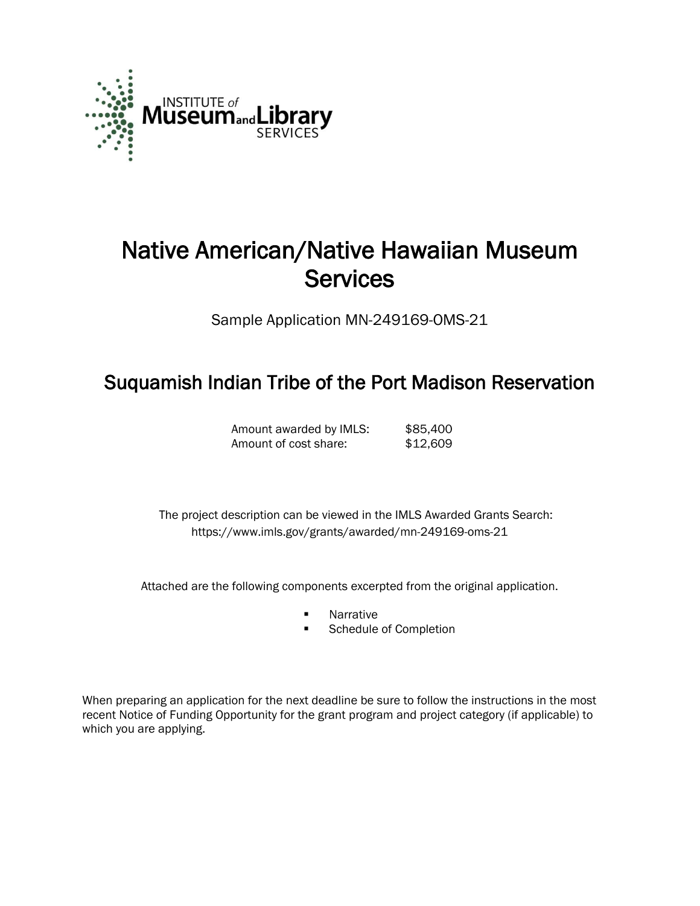

# Native American/Native Hawaiian Museum **Services**

Sample Application MN-249169-OMS-21

# Suquamish Indian Tribe of the Port Madison Reservation

Amount awarded by IMLS: \$85,400 Amount of cost share: \$12,609

 The project description can be viewed in the IMLS Awarded Grants Search: <https://www.imls.gov/grants/awarded/mn-249169-oms-21>

Attached are the following components excerpted from the original application.

- **Narrative**
- **Schedule of Completion**

When preparing an application for the next deadline be sure to follow the instructions in the most recent Notice of Funding Opportunity for the grant program and project category (if applicable) to which you are applying.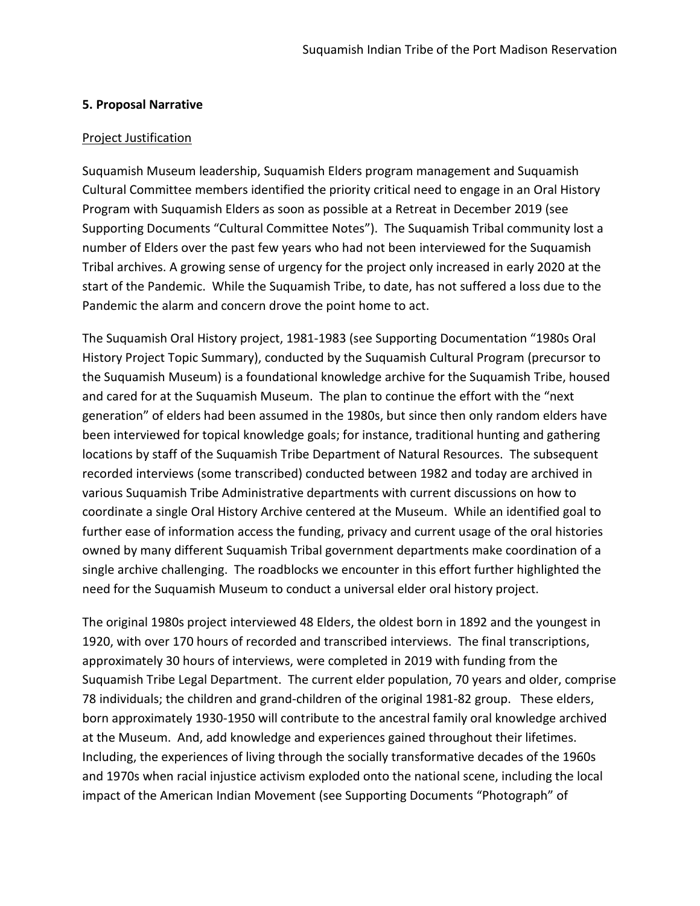#### **5. Proposal Narrative**

#### Project Justification

Suquamish Museum leadership, Suquamish Elders program management and Suquamish Cultural Committee members identified the priority critical need to engage in an Oral History Program with Suquamish Elders as soon as possible at a Retreat in December 2019 (see Supporting Documents "Cultural Committee Notes"). The Suquamish Tribal community lost a number of Elders over the past few years who had not been interviewed for the Suquamish Tribal archives. A growing sense of urgency for the project only increased in early 2020 at the start of the Pandemic. While the Suquamish Tribe, to date, has not suffered a loss due to the Pandemic the alarm and concern drove the point home to act.

The Suquamish Oral History project, 1981-1983 (see Supporting Documentation "1980s Oral History Project Topic Summary), conducted by the Suquamish Cultural Program (precursor to the Suquamish Museum) is a foundational knowledge archive for the Suquamish Tribe, housed and cared for at the Suquamish Museum. The plan to continue the effort with the "next generation" of elders had been assumed in the 1980s, but since then only random elders have been interviewed for topical knowledge goals; for instance, traditional hunting and gathering locations by staff of the Suquamish Tribe Department of Natural Resources. The subsequent recorded interviews (some transcribed) conducted between 1982 and today are archived in various Suquamish Tribe Administrative departments with current discussions on how to coordinate a single Oral History Archive centered at the Museum. While an identified goal to further ease of information access the funding, privacy and current usage of the oral histories owned by many different Suquamish Tribal government departments make coordination of a single archive challenging. The roadblocks we encounter in this effort further highlighted the need for the Suquamish Museum to conduct a universal elder oral history project.

The original 1980s project interviewed 48 Elders, the oldest born in 1892 and the youngest in 1920, with over 170 hours of recorded and transcribed interviews. The final transcriptions, approximately 30 hours of interviews, were completed in 2019 with funding from the Suquamish Tribe Legal Department. The current elder population, 70 years and older, comprise 78 individuals; the children and grand-children of the original 1981-82 group. These elders, born approximately 1930-1950 will contribute to the ancestral family oral knowledge archived at the Museum. And, add knowledge and experiences gained throughout their lifetimes. Including, the experiences of living through the socially transformative decades of the 1960s and 1970s when racial injustice activism exploded onto the national scene, including the local impact of the American Indian Movement (see Supporting Documents "Photograph" of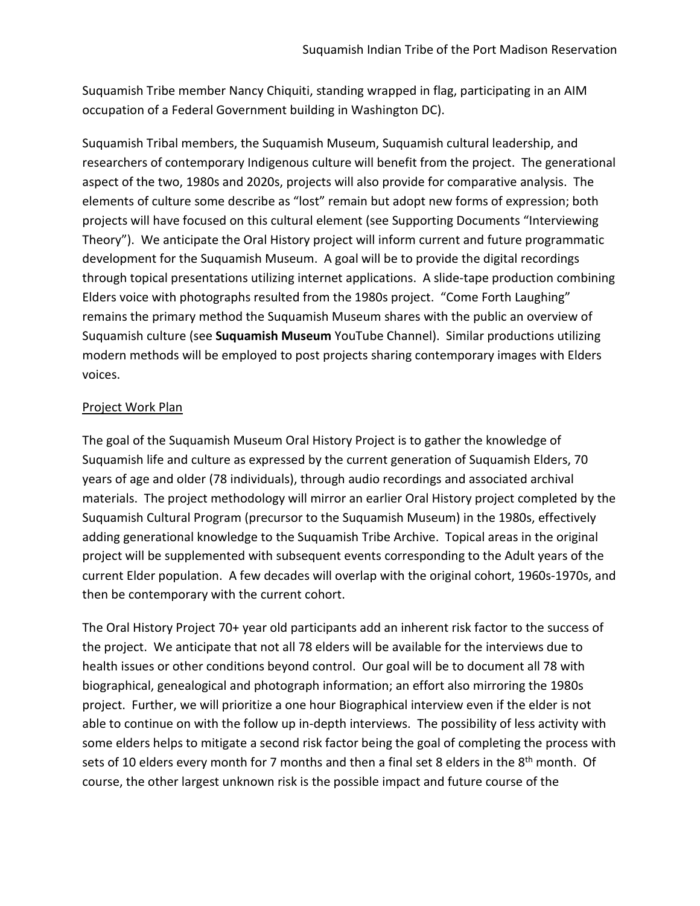Suquamish Tribe member Nancy Chiquiti, standing wrapped in flag, participating in an AIM occupation of a Federal Government building in Washington DC).

Suquamish Tribal members, the Suquamish Museum, Suquamish cultural leadership, and researchers of contemporary Indigenous culture will benefit from the project. The generational aspect of the two, 1980s and 2020s, projects will also provide for comparative analysis. The elements of culture some describe as "lost" remain but adopt new forms of expression; both projects will have focused on this cultural element (see Supporting Documents "Interviewing Theory"). We anticipate the Oral History project will inform current and future programmatic development for the Suquamish Museum. A goal will be to provide the digital recordings through topical presentations utilizing internet applications. A slide-tape production combining Elders voice with photographs resulted from the 1980s project. "Come Forth Laughing" remains the primary method the Suquamish Museum shares with the public an overview of Suquamish culture (see **Suquamish Museum** YouTube Channel). Similar productions utilizing modern methods will be employed to post projects sharing contemporary images with Elders voices.

## Project Work Plan

The goal of the Suquamish Museum Oral History Project is to gather the knowledge of Suquamish life and culture as expressed by the current generation of Suquamish Elders, 70 years of age and older (78 individuals), through audio recordings and associated archival materials. The project methodology will mirror an earlier Oral History project completed by the Suquamish Cultural Program (precursor to the Suquamish Museum) in the 1980s, effectively adding generational knowledge to the Suquamish Tribe Archive. Topical areas in the original project will be supplemented with subsequent events corresponding to the Adult years of the current Elder population. A few decades will overlap with the original cohort, 1960s-1970s, and then be contemporary with the current cohort.

The Oral History Project 70+ year old participants add an inherent risk factor to the success of the project. We anticipate that not all 78 elders will be available for the interviews due to health issues or other conditions beyond control. Our goal will be to document all 78 with biographical, genealogical and photograph information; an effort also mirroring the 1980s project. Further, we will prioritize a one hour Biographical interview even if the elder is not able to continue on with the follow up in-depth interviews. The possibility of less activity with some elders helps to mitigate a second risk factor being the goal of completing the process with sets of 10 elders every month for 7 months and then a final set 8 elders in the  $8<sup>th</sup>$  month. Of course, the other largest unknown risk is the possible impact and future course of the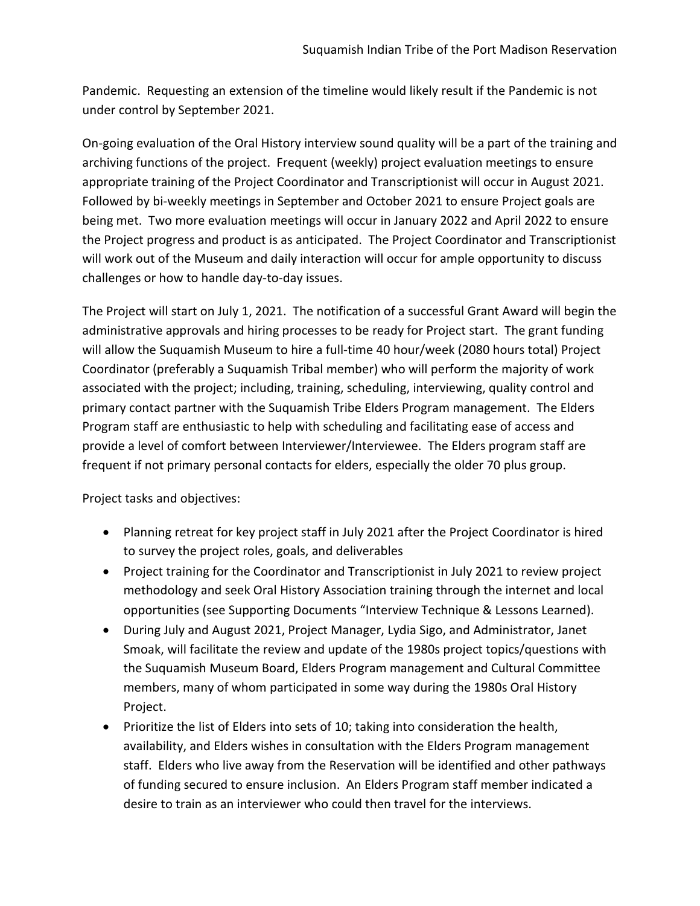Pandemic. Requesting an extension of the timeline would likely result if the Pandemic is not under control by September 2021.

On-going evaluation of the Oral History interview sound quality will be a part of the training and archiving functions of the project. Frequent (weekly) project evaluation meetings to ensure appropriate training of the Project Coordinator and Transcriptionist will occur in August 2021. Followed by bi-weekly meetings in September and October 2021 to ensure Project goals are being met. Two more evaluation meetings will occur in January 2022 and April 2022 to ensure the Project progress and product is as anticipated. The Project Coordinator and Transcriptionist will work out of the Museum and daily interaction will occur for ample opportunity to discuss challenges or how to handle day-to-day issues.

The Project will start on July 1, 2021. The notification of a successful Grant Award will begin the administrative approvals and hiring processes to be ready for Project start. The grant funding will allow the Suquamish Museum to hire a full-time 40 hour/week (2080 hours total) Project Coordinator (preferably a Suquamish Tribal member) who will perform the majority of work associated with the project; including, training, scheduling, interviewing, quality control and primary contact partner with the Suquamish Tribe Elders Program management. The Elders Program staff are enthusiastic to help with scheduling and facilitating ease of access and provide a level of comfort between Interviewer/Interviewee. The Elders program staff are frequent if not primary personal contacts for elders, especially the older 70 plus group.

Project tasks and objectives:

- Planning retreat for key project staff in July 2021 after the Project Coordinator is hired to survey the project roles, goals, and deliverables
- Project training for the Coordinator and Transcriptionist in July 2021 to review project methodology and seek Oral History Association training through the internet and local opportunities (see Supporting Documents "Interview Technique & Lessons Learned).
- During July and August 2021, Project Manager, Lydia Sigo, and Administrator, Janet Smoak, will facilitate the review and update of the 1980s project topics/questions with the Suquamish Museum Board, Elders Program management and Cultural Committee members, many of whom participated in some way during the 1980s Oral History Project.
- Prioritize the list of Elders into sets of 10; taking into consideration the health, availability, and Elders wishes in consultation with the Elders Program management staff. Elders who live away from the Reservation will be identified and other pathways of funding secured to ensure inclusion. An Elders Program staff member indicated a desire to train as an interviewer who could then travel for the interviews.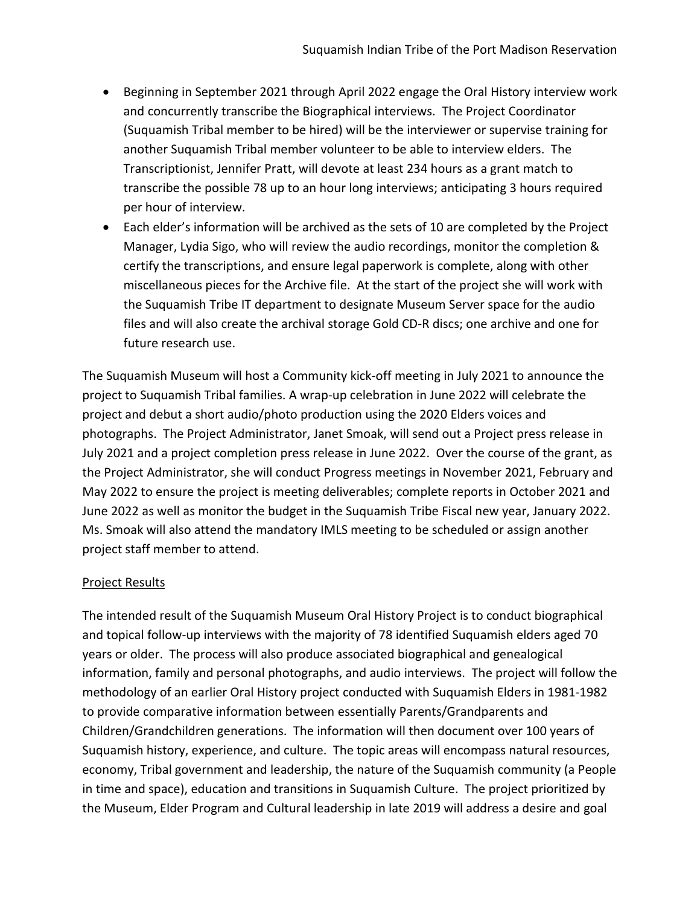- Beginning in September 2021 through April 2022 engage the Oral History interview work and concurrently transcribe the Biographical interviews. The Project Coordinator (Suquamish Tribal member to be hired) will be the interviewer or supervise training for another Suquamish Tribal member volunteer to be able to interview elders. The Transcriptionist, Jennifer Pratt, will devote at least 234 hours as a grant match to transcribe the possible 78 up to an hour long interviews; anticipating 3 hours required per hour of interview.
- Each elder's information will be archived as the sets of 10 are completed by the Project Manager, Lydia Sigo, who will review the audio recordings, monitor the completion & certify the transcriptions, and ensure legal paperwork is complete, along with other miscellaneous pieces for the Archive file. At the start of the project she will work with the Suquamish Tribe IT department to designate Museum Server space for the audio files and will also create the archival storage Gold CD-R discs; one archive and one for future research use.

The Suquamish Museum will host a Community kick-off meeting in July 2021 to announce the project to Suquamish Tribal families. A wrap-up celebration in June 2022 will celebrate the project and debut a short audio/photo production using the 2020 Elders voices and photographs. The Project Administrator, Janet Smoak, will send out a Project press release in July 2021 and a project completion press release in June 2022. Over the course of the grant, as the Project Administrator, she will conduct Progress meetings in November 2021, February and May 2022 to ensure the project is meeting deliverables; complete reports in October 2021 and June 2022 as well as monitor the budget in the Suquamish Tribe Fiscal new year, January 2022. Ms. Smoak will also attend the mandatory IMLS meeting to be scheduled or assign another project staff member to attend.

## Project Results

The intended result of the Suquamish Museum Oral History Project is to conduct biographical and topical follow-up interviews with the majority of 78 identified Suquamish elders aged 70 years or older. The process will also produce associated biographical and genealogical information, family and personal photographs, and audio interviews. The project will follow the methodology of an earlier Oral History project conducted with Suquamish Elders in 1981-1982 to provide comparative information between essentially Parents/Grandparents and Children/Grandchildren generations. The information will then document over 100 years of Suquamish history, experience, and culture. The topic areas will encompass natural resources, economy, Tribal government and leadership, the nature of the Suquamish community (a People in time and space), education and transitions in Suquamish Culture. The project prioritized by the Museum, Elder Program and Cultural leadership in late 2019 will address a desire and goal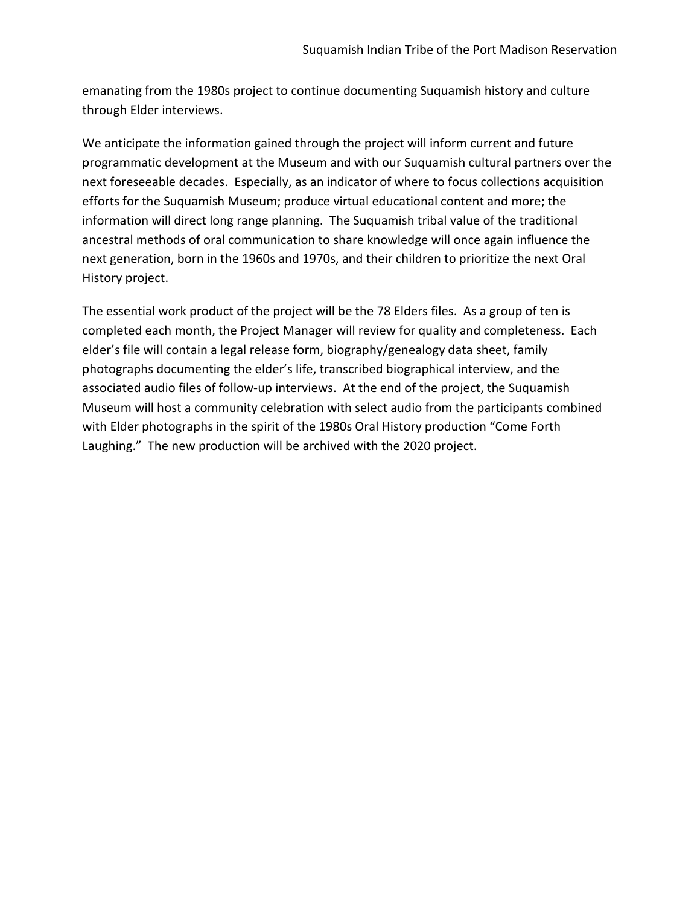emanating from the 1980s project to continue documenting Suquamish history and culture through Elder interviews.

We anticipate the information gained through the project will inform current and future programmatic development at the Museum and with our Suquamish cultural partners over the next foreseeable decades. Especially, as an indicator of where to focus collections acquisition efforts for the Suquamish Museum; produce virtual educational content and more; the information will direct long range planning. The Suquamish tribal value of the traditional ancestral methods of oral communication to share knowledge will once again influence the next generation, born in the 1960s and 1970s, and their children to prioritize the next Oral History project.

The essential work product of the project will be the 78 Elders files. As a group of ten is completed each month, the Project Manager will review for quality and completeness. Each elder's file will contain a legal release form, biography/genealogy data sheet, family photographs documenting the elder's life, transcribed biographical interview, and the associated audio files of follow-up interviews. At the end of the project, the Suquamish Museum will host a community celebration with select audio from the participants combined with Elder photographs in the spirit of the 1980s Oral History production "Come Forth Laughing." The new production will be archived with the 2020 project.